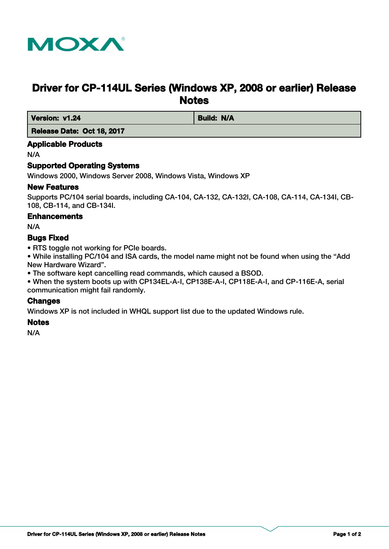

# **Driver for CP-114UL Series (Windows XP, 2008 or earlier) Release Notes**

*Version: v1.24* **Build: N/A** 

 **Release Date: Oct 18, 2017**

# **Applicable Products**

N/A

# **Supported Operating Systems**

Windows 2000, Windows Server 2008, Windows Vista, Windows XP

#### **New Features**

Supports PC/104 serial boards, including CA-104, CA-132, CA-132I, CA-108, CA-114, CA-134I, CB-108, CB-114, and CB-134I.

#### **Enhancements**

N/A

# **Bugs Fixed**

• RTS toggle not working for PCIe boards.

• While installing PC/104 and ISA cards, the model name might not be found when using the "Add New Hardware Wizard".

• The software kept cancelling read commands, which caused a BSOD.

• When the system boots up with CP134EL-A-I, CP138E-A-I, CP118E-A-I, and CP-116E-A, serial communication might fail randomly.

# **Changes**

Windows XP is not included in WHQL support list due to the updated Windows rule.

#### **Notes**

N/A